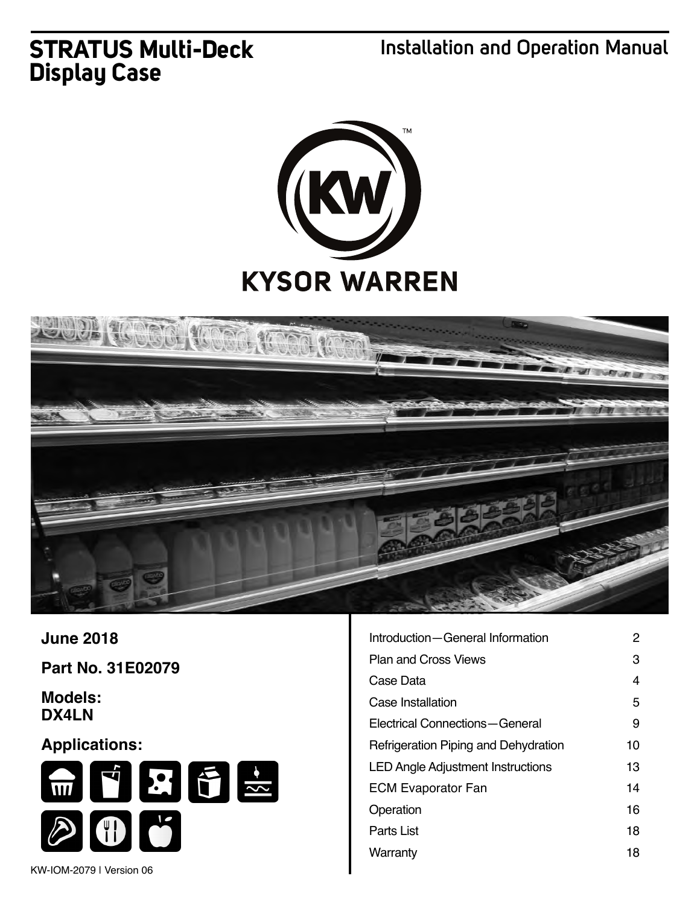# **STRATUS Multi-Deck Display Case**

**Installation and Operation Manual**





**June 2018**

**Part No. 31E02079**

**Models: DX4LN**

## **Applications:**



| Introduction – General Information       | 2  |
|------------------------------------------|----|
| <b>Plan and Cross Views</b>              | 3  |
| Case Data                                | 4  |
| Case Installation                        | 5  |
| Electrical Connections-General           | 9  |
| Refrigeration Piping and Dehydration     | 10 |
| <b>LED Angle Adjustment Instructions</b> | 13 |
| <b>ECM Evaporator Fan</b>                | 14 |
| Operation                                | 16 |
| Parts List                               | 18 |
| Warranty                                 | 18 |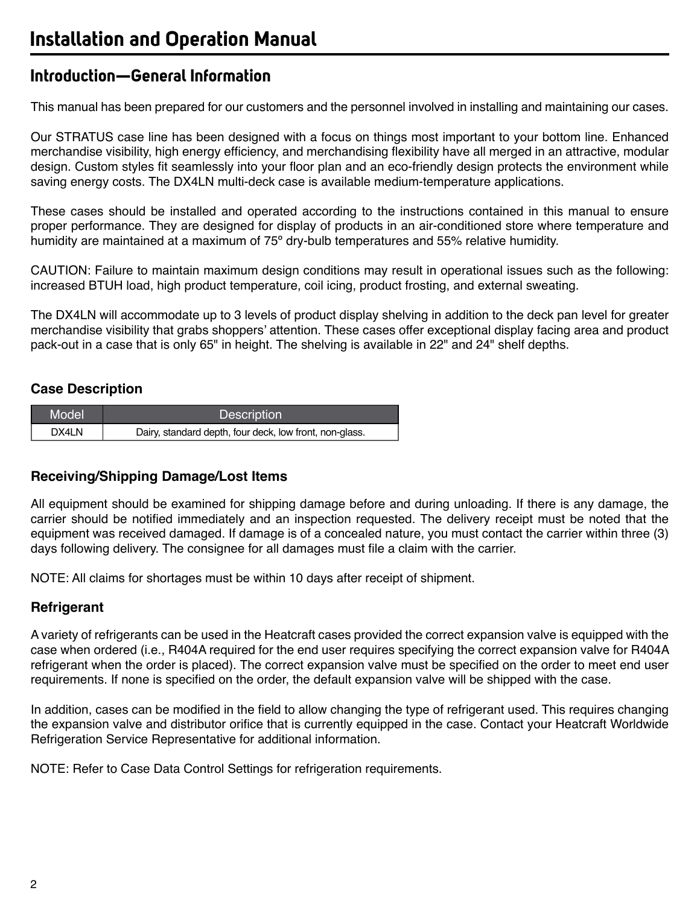## **Introduction—General Information**

This manual has been prepared for our customers and the personnel involved in installing and maintaining our cases.

Our STRATUS case line has been designed with a focus on things most important to your bottom line. Enhanced merchandise visibility, high energy efficiency, and merchandising flexibility have all merged in an attractive, modular design. Custom styles fit seamlessly into your floor plan and an eco-friendly design protects the environment while saving energy costs. The DX4LN multi-deck case is available medium-temperature applications.

These cases should be installed and operated according to the instructions contained in this manual to ensure proper performance. They are designed for display of products in an air-conditioned store where temperature and humidity are maintained at a maximum of 75º dry-bulb temperatures and 55% relative humidity.

CAUTION: Failure to maintain maximum design conditions may result in operational issues such as the following: increased BTUH load, high product temperature, coil icing, product frosting, and external sweating.

The DX4LN will accommodate up to 3 levels of product display shelving in addition to the deck pan level for greater merchandise visibility that grabs shoppers' attention. These cases offer exceptional display facing area and product pack-out in a case that is only 65" in height. The shelving is available in 22" and 24" shelf depths.

## **Case Description**

| Model | <b>Description</b>                                      |
|-------|---------------------------------------------------------|
| DX4LN | Dairy, standard depth, four deck, low front, non-glass. |

### **Receiving/Shipping Damage/Lost Items**

All equipment should be examined for shipping damage before and during unloading. If there is any damage, the carrier should be notified immediately and an inspection requested. The delivery receipt must be noted that the equipment was received damaged. If damage is of a concealed nature, you must contact the carrier within three (3) days following delivery. The consignee for all damages must file a claim with the carrier.

NOTE: All claims for shortages must be within 10 days after receipt of shipment.

### **Refrigerant**

A variety of refrigerants can be used in the Heatcraft cases provided the correct expansion valve is equipped with the case when ordered (i.e., R404A required for the end user requires specifying the correct expansion valve for R404A refrigerant when the order is placed). The correct expansion valve must be specified on the order to meet end user requirements. If none is specified on the order, the default expansion valve will be shipped with the case.

In addition, cases can be modified in the field to allow changing the type of refrigerant used. This requires changing the expansion valve and distributor orifice that is currently equipped in the case. Contact your Heatcraft Worldwide Refrigeration Service Representative for additional information.

NOTE: Refer to Case Data Control Settings for refrigeration requirements.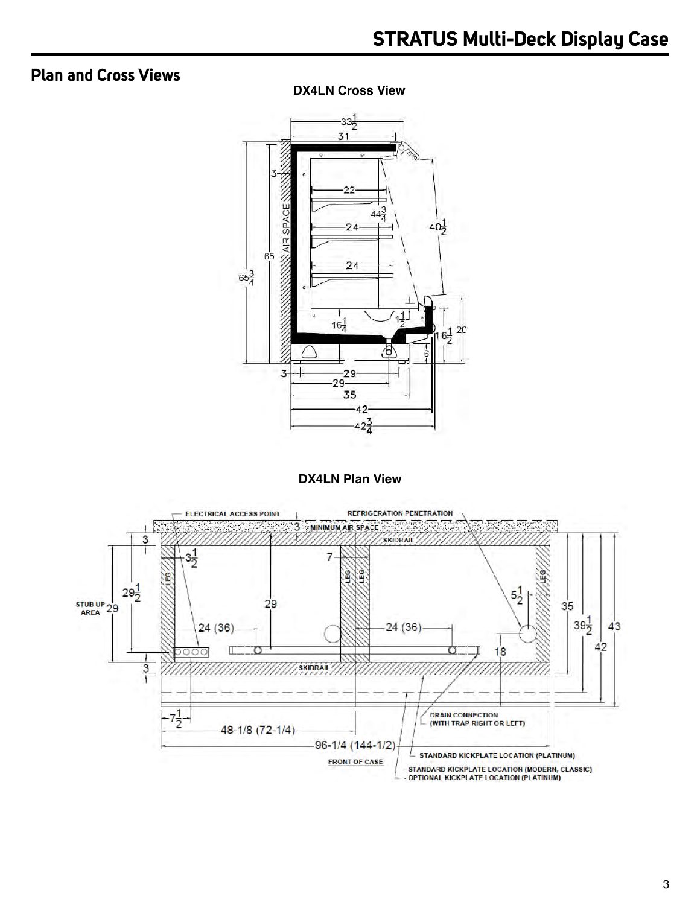## **Plan and Cross Views**

**DX4LN Cross View**



**DX4LN Plan View**

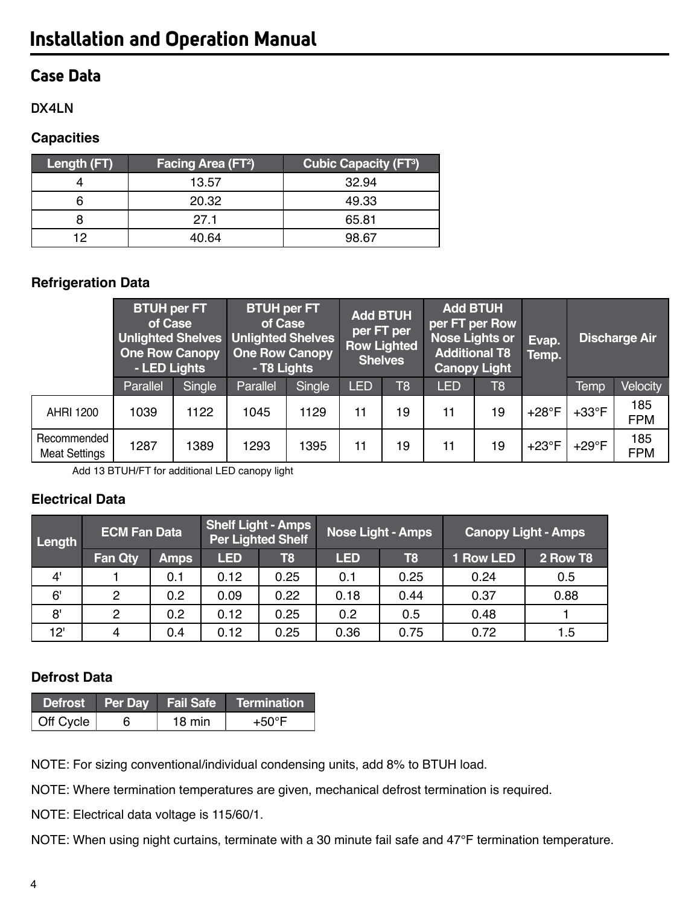## **Case Data**

### **DX4LN**

### **Capacities**

| <b>Length (FT)</b> | <b>Facing Area (FT2)</b> | <b>Cubic Capacity (FT3)</b> |
|--------------------|--------------------------|-----------------------------|
|                    | 13.57                    | 32.94                       |
|                    | 20.32                    | 49.33                       |
|                    | 271                      | 65.81                       |
| 19                 | 40.64                    | 98.67                       |

## **Refrigeration Data**

|                                     | <b>BTUH per FT</b><br>of Case<br>Unlighted Shelves Unlighted Shelves<br><b>One Row Canopy</b><br>- LED Lights |        | <b>BTUH per FT</b><br>of Case<br><b>One Row Canopy</b><br>- T8 Lights |        |            | <b>Add BTUH</b><br>per FT per<br><b>Row Lighted</b><br><b>Shelves</b> | <b>Add BTUH</b><br>per FT per Row<br><b>Nose Lights or</b><br><b>Additional T8</b><br><b>Canopy Light</b> |                | Evap.<br>Temp. |                | <b>Discharge Air</b> |
|-------------------------------------|---------------------------------------------------------------------------------------------------------------|--------|-----------------------------------------------------------------------|--------|------------|-----------------------------------------------------------------------|-----------------------------------------------------------------------------------------------------------|----------------|----------------|----------------|----------------------|
|                                     | Parallel                                                                                                      | Single | Parallel                                                              | Single | <b>LED</b> | T <sub>8</sub>                                                        | <b>LED</b>                                                                                                | T <sub>8</sub> |                | <b>Temp</b>    | Velocity             |
| <b>AHRI 1200</b>                    | 1039                                                                                                          | 1122   | 1045                                                                  | 1129   | 11         | 19                                                                    | 11                                                                                                        | 19             | $+28$ °F       | $+33^{\circ}F$ | 185<br><b>FPM</b>    |
| Recommended<br><b>Meat Settings</b> | 1287                                                                                                          | 1389   | 1293                                                                  | 1395   | 11         | 19                                                                    | 11                                                                                                        | 19             | $+23^{\circ}F$ | $+29^{\circ}F$ | 185<br><b>FPM</b>    |

Add 13 BTUH/FT for additional LED canopy light

## **Electrical Data**

| Length | <b>ECM Fan Data</b> |             |            | <b>Shelf Light - Amps</b><br><b>Per Lighted Shelf</b> |            | <b>Nose Light - Amps</b> |           | <b>Canopy Light - Amps</b> |
|--------|---------------------|-------------|------------|-------------------------------------------------------|------------|--------------------------|-----------|----------------------------|
|        | <b>Fan Qty</b>      | <b>Amps</b> | <b>LED</b> | T8                                                    | <b>LED</b> | T8                       | 1 Row LED | 2 Row T8                   |
| 4'     |                     | 0.1         | 0.12       | 0.25                                                  | 0.1        | 0.25                     | 0.24      | 0.5                        |
| 6'     | 2                   | 0.2         | 0.09       | 0.22                                                  | 0.18       | 0.44                     | 0.37      | 0.88                       |
| 8'     | 2                   | 0.2         | 0.12       | 0.25                                                  | 0.2        | 0.5                      | 0.48      |                            |
| 12'    | $\overline{4}$      | 0.4         | 0.12       | 0.25                                                  | 0.36       | 0.75                     | 0.72      | 1.5                        |

## **Defrost Data**

|                   |        | Defrost Per Day Fail Safe Termination |
|-------------------|--------|---------------------------------------|
| $\vert$ Off Cycle | 18 min | $+50^{\circ}$ F                       |

NOTE: For sizing conventional/individual condensing units, add 8% to BTUH load.

NOTE: Where termination temperatures are given, mechanical defrost termination is required.

NOTE: Electrical data voltage is 115/60/1.

NOTE: When using night curtains, terminate with a 30 minute fail safe and 47°F termination temperature.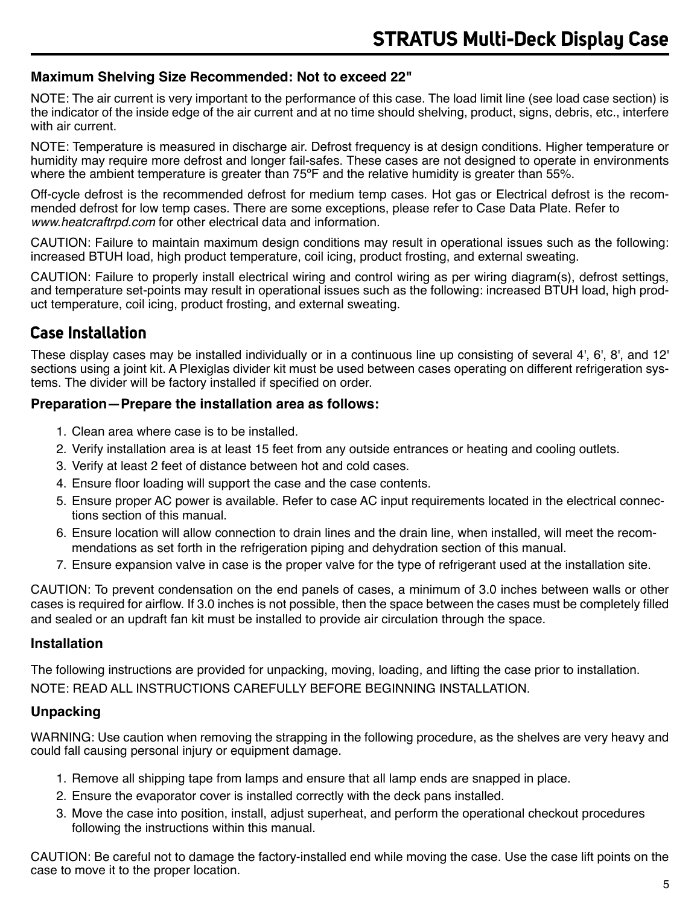#### **Maximum Shelving Size Recommended: Not to exceed 22"**

NOTE: The air current is very important to the performance of this case. The load limit line (see load case section) is the indicator of the inside edge of the air current and at no time should shelving, product, signs, debris, etc., interfere with air current.

NOTE: Temperature is measured in discharge air. Defrost frequency is at design conditions. Higher temperature or humidity may require more defrost and longer fail-safes. These cases are not designed to operate in environments where the ambient temperature is greater than 75°F and the relative humidity is greater than 55%.

Off-cycle defrost is the recommended defrost for medium temp cases. Hot gas or Electrical defrost is the recommended defrost for low temp cases. There are some exceptions, please refer to Case Data Plate. Refer to *www.heatcraftrpd.com* for other electrical data and information.

CAUTION: Failure to maintain maximum design conditions may result in operational issues such as the following: increased BTUH load, high product temperature, coil icing, product frosting, and external sweating.

CAUTION: Failure to properly install electrical wiring and control wiring as per wiring diagram(s), defrost settings, and temperature set-points may result in operational issues such as the following: increased BTUH load, high product temperature, coil icing, product frosting, and external sweating.

## **Case Installation**

These display cases may be installed individually or in a continuous line up consisting of several 4', 6', 8', and 12' sections using a joint kit. A Plexiglas divider kit must be used between cases operating on different refrigeration systems. The divider will be factory installed if specified on order.

#### **Preparation—Prepare the installation area as follows:**

- 1. Clean area where case is to be installed.
- 2. Verify installation area is at least 15 feet from any outside entrances or heating and cooling outlets.
- 3. Verify at least 2 feet of distance between hot and cold cases.
- 4. Ensure floor loading will support the case and the case contents.
- 5. Ensure proper AC power is available. Refer to case AC input requirements located in the electrical connections section of this manual.
- 6. Ensure location will allow connection to drain lines and the drain line, when installed, will meet the recommendations as set forth in the refrigeration piping and dehydration section of this manual.
- 7. Ensure expansion valve in case is the proper valve for the type of refrigerant used at the installation site.

CAUTION: To prevent condensation on the end panels of cases, a minimum of 3.0 inches between walls or other cases is required for airflow. If 3.0 inches is not possible, then the space between the cases must be completely filled and sealed or an updraft fan kit must be installed to provide air circulation through the space.

#### **Installation**

The following instructions are provided for unpacking, moving, loading, and lifting the case prior to installation.

NOTE: READ ALL INSTRUCTIONS CAREFULLY BEFORE BEGINNING INSTALLATION.

### **Unpacking**

WARNING: Use caution when removing the strapping in the following procedure, as the shelves are very heavy and could fall causing personal injury or equipment damage.

- 1. Remove all shipping tape from lamps and ensure that all lamp ends are snapped in place.
- 2. Ensure the evaporator cover is installed correctly with the deck pans installed.
- 3. Move the case into position, install, adjust superheat, and perform the operational checkout procedures following the instructions within this manual.

CAUTION: Be careful not to damage the factory-installed end while moving the case. Use the case lift points on the case to move it to the proper location.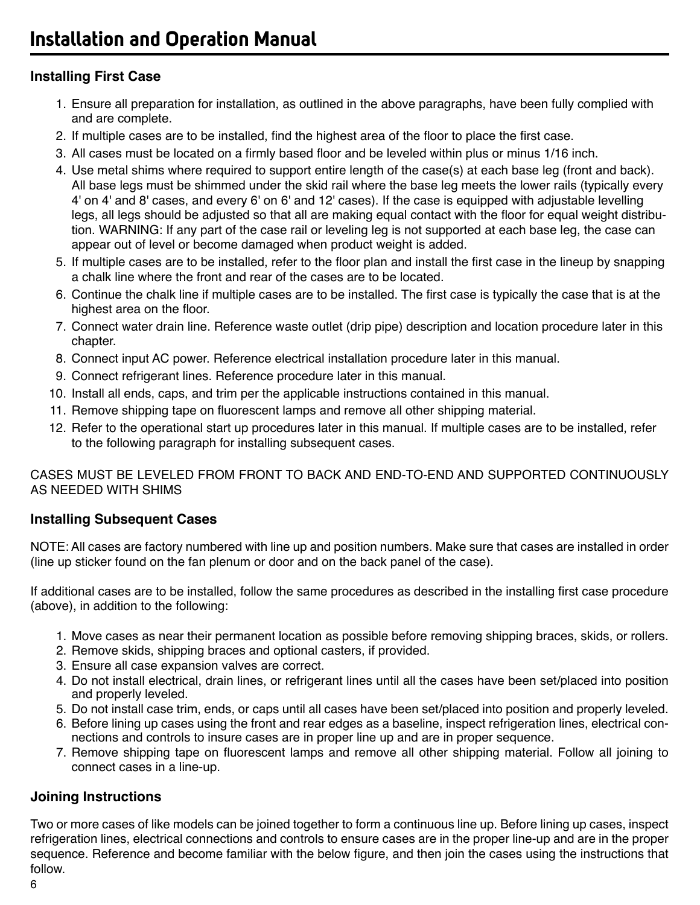## **Installing First Case**

- 1. Ensure all preparation for installation, as outlined in the above paragraphs, have been fully complied with and are complete.
- 2. If multiple cases are to be installed, find the highest area of the floor to place the first case.
- 3. All cases must be located on a firmly based floor and be leveled within plus or minus 1/16 inch.
- 4. Use metal shims where required to support entire length of the case(s) at each base leg (front and back). All base legs must be shimmed under the skid rail where the base leg meets the lower rails (typically every 4' on 4' and 8' cases, and every 6' on 6' and 12' cases). If the case is equipped with adjustable levelling legs, all legs should be adjusted so that all are making equal contact with the floor for equal weight distribution. WARNING: If any part of the case rail or leveling leg is not supported at each base leg, the case can appear out of level or become damaged when product weight is added.
- 5. If multiple cases are to be installed, refer to the floor plan and install the first case in the lineup by snapping a chalk line where the front and rear of the cases are to be located.
- 6. Continue the chalk line if multiple cases are to be installed. The first case is typically the case that is at the highest area on the floor.
- 7. Connect water drain line. Reference waste outlet (drip pipe) description and location procedure later in this chapter.
- 8. Connect input AC power. Reference electrical installation procedure later in this manual.
- 9. Connect refrigerant lines. Reference procedure later in this manual.
- 10. Install all ends, caps, and trim per the applicable instructions contained in this manual.
- 11. Remove shipping tape on fluorescent lamps and remove all other shipping material.
- 12. Refer to the operational start up procedures later in this manual. If multiple cases are to be installed, refer to the following paragraph for installing subsequent cases.

CASES MUST BE LEVELED FROM FRONT TO BACK AND END-TO-END AND SUPPORTED CONTINUOUSLY AS NEEDED WITH SHIMS

### **Installing Subsequent Cases**

NOTE: All cases are factory numbered with line up and position numbers. Make sure that cases are installed in order (line up sticker found on the fan plenum or door and on the back panel of the case).

If additional cases are to be installed, follow the same procedures as described in the installing first case procedure (above), in addition to the following:

- 1. Move cases as near their permanent location as possible before removing shipping braces, skids, or rollers.
- 2. Remove skids, shipping braces and optional casters, if provided.
- 3. Ensure all case expansion valves are correct.
- 4. Do not install electrical, drain lines, or refrigerant lines until all the cases have been set/placed into position and properly leveled.
- 5. Do not install case trim, ends, or caps until all cases have been set/placed into position and properly leveled.
- 6. Before lining up cases using the front and rear edges as a baseline, inspect refrigeration lines, electrical connections and controls to insure cases are in proper line up and are in proper sequence.
- 7. Remove shipping tape on fluorescent lamps and remove all other shipping material. Follow all joining to connect cases in a line-up.

## **Joining Instructions**

Two or more cases of like models can be joined together to form a continuous line up. Before lining up cases, inspect refrigeration lines, electrical connections and controls to ensure cases are in the proper line-up and are in the proper sequence. Reference and become familiar with the below figure, and then join the cases using the instructions that follow.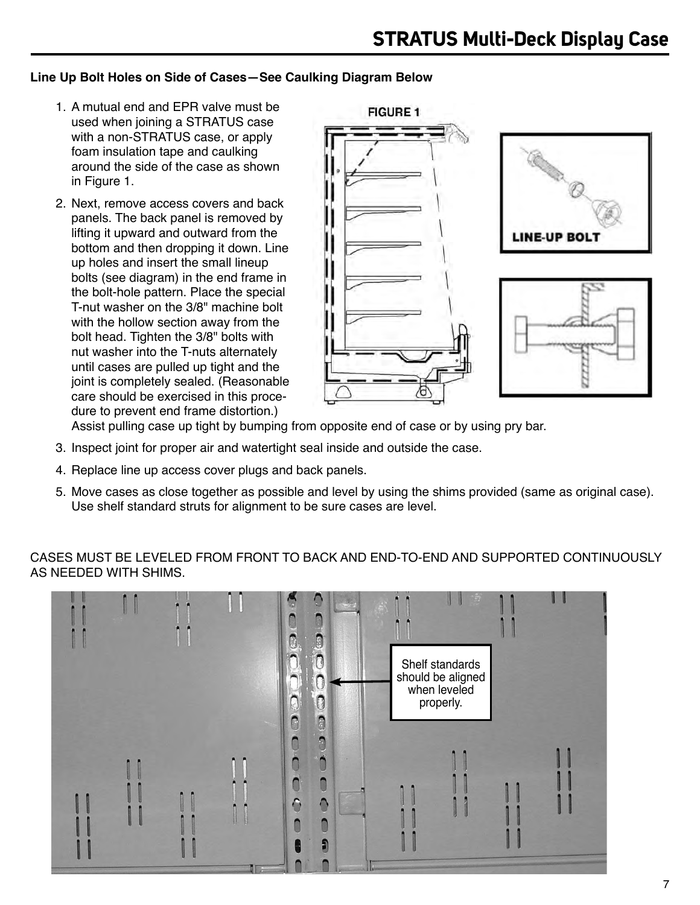#### **Line Up Bolt Holes on Side of Cases—See Caulking Diagram Below**

- 1. A mutual end and EPR valve must be used when joining a STRATUS case with a non-STRATUS case, or apply foam insulation tape and caulking around the side of the case as shown in Figure 1.
- 2. Next, remove access covers and back panels. The back panel is removed by lifting it upward and outward from the bottom and then dropping it down. Line up holes and insert the small lineup bolts (see diagram) in the end frame in the bolt-hole pattern. Place the special T-nut washer on the 3/8" machine bolt with the hollow section away from the bolt head. Tighten the 3/8" bolts with nut washer into the T-nuts alternately until cases are pulled up tight and the joint is completely sealed. (Reasonable care should be exercised in this procedure to prevent end frame distortion.)



Assist pulling case up tight by bumping from opposite end of case or by using pry bar.

- 3. Inspect joint for proper air and watertight seal inside and outside the case.
- 4. Replace line up access cover plugs and back panels.
- 5. Move cases as close together as possible and level by using the shims provided (same as original case). Use shelf standard struts for alignment to be sure cases are level.

CASES MUST BE LEVELED FROM FRONT TO BACK AND END-TO-END AND SUPPORTED CONTINUOUSLY AS NEEDED WITH SHIMS.

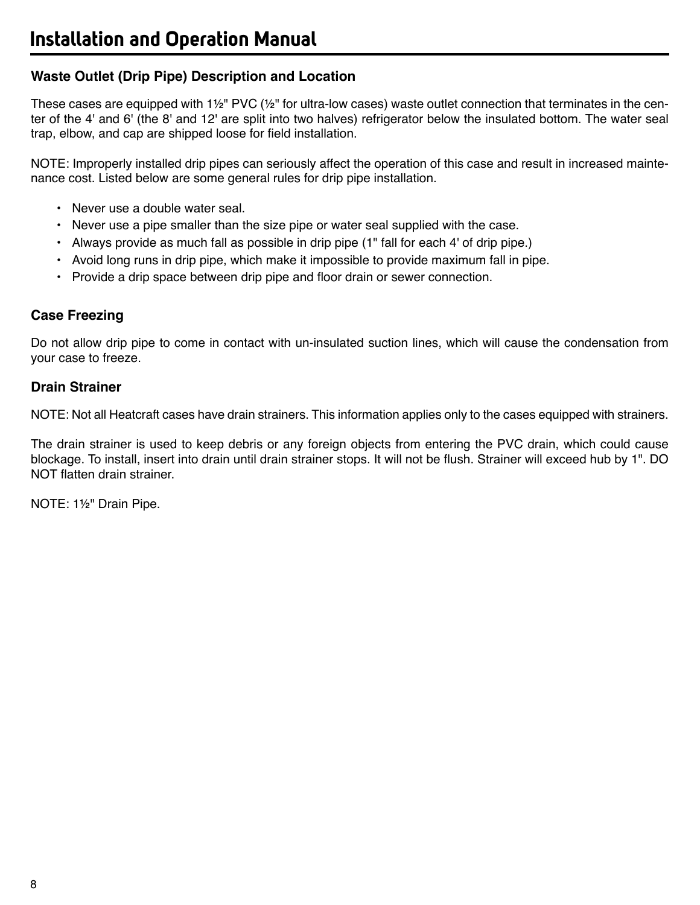### **Waste Outlet (Drip Pipe) Description and Location**

These cases are equipped with  $1\frac{1}{2}$ " PVC ( $\frac{1}{2}$ " for ultra-low cases) waste outlet connection that terminates in the center of the 4' and 6' (the 8' and 12' are split into two halves) refrigerator below the insulated bottom. The water seal trap, elbow, and cap are shipped loose for field installation.

NOTE: Improperly installed drip pipes can seriously affect the operation of this case and result in increased maintenance cost. Listed below are some general rules for drip pipe installation.

- Never use a double water seal.
- Never use a pipe smaller than the size pipe or water seal supplied with the case.
- Always provide as much fall as possible in drip pipe (1" fall for each 4' of drip pipe.)
- Avoid long runs in drip pipe, which make it impossible to provide maximum fall in pipe.
- Provide a drip space between drip pipe and floor drain or sewer connection.

#### **Case Freezing**

Do not allow drip pipe to come in contact with un-insulated suction lines, which will cause the condensation from your case to freeze.

#### **Drain Strainer**

NOTE: Not all Heatcraft cases have drain strainers. This information applies only to the cases equipped with strainers.

The drain strainer is used to keep debris or any foreign objects from entering the PVC drain, which could cause blockage. To install, insert into drain until drain strainer stops. It will not be flush. Strainer will exceed hub by 1". DO NOT flatten drain strainer.

NOTE: 1½" Drain Pipe.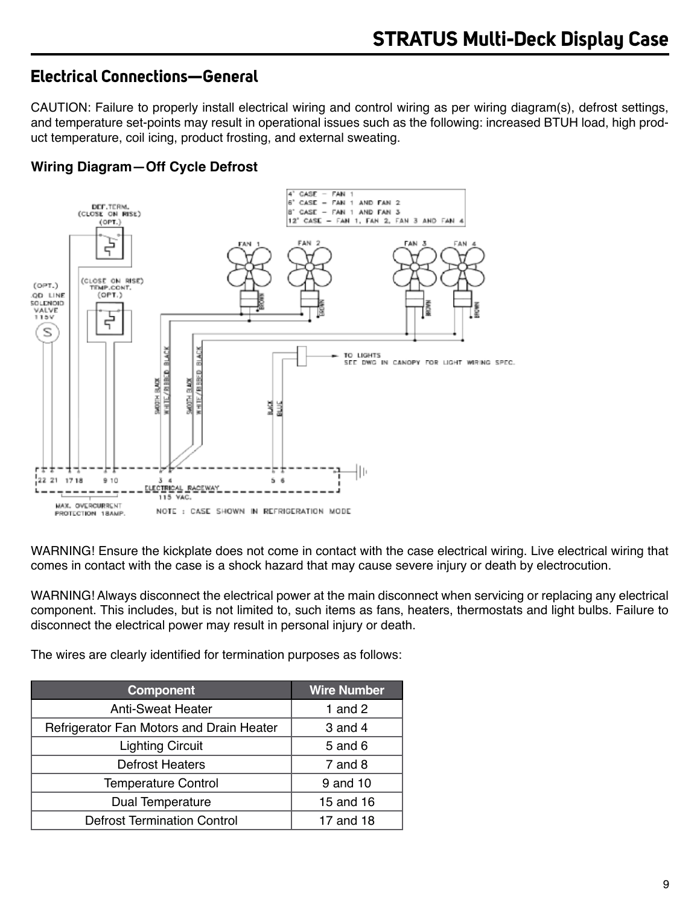## **Electrical Connections—General**

CAUTION: Failure to properly install electrical wiring and control wiring as per wiring diagram(s), defrost settings, and temperature set-points may result in operational issues such as the following: increased BTUH load, high product temperature, coil icing, product frosting, and external sweating.

## **Wiring Diagram—Off Cycle Defrost**



WARNING! Ensure the kickplate does not come in contact with the case electrical wiring. Live electrical wiring that comes in contact with the case is a shock hazard that may cause severe injury or death by electrocution.

WARNING! Always disconnect the electrical power at the main disconnect when servicing or replacing any electrical component. This includes, but is not limited to, such items as fans, heaters, thermostats and light bulbs. Failure to disconnect the electrical power may result in personal injury or death.

The wires are clearly identified for termination purposes as follows:

| <b>Component</b>                         | <b>Wire Number</b> |
|------------------------------------------|--------------------|
| <b>Anti-Sweat Heater</b>                 | 1 and $2$          |
| Refrigerator Fan Motors and Drain Heater | 3 and 4            |
| <b>Lighting Circuit</b>                  | 5 and 6            |
| <b>Defrost Heaters</b>                   | 7 and 8            |
| <b>Temperature Control</b>               | 9 and 10           |
| Dual Temperature                         | 15 and 16          |
| <b>Defrost Termination Control</b>       | 17 and 18          |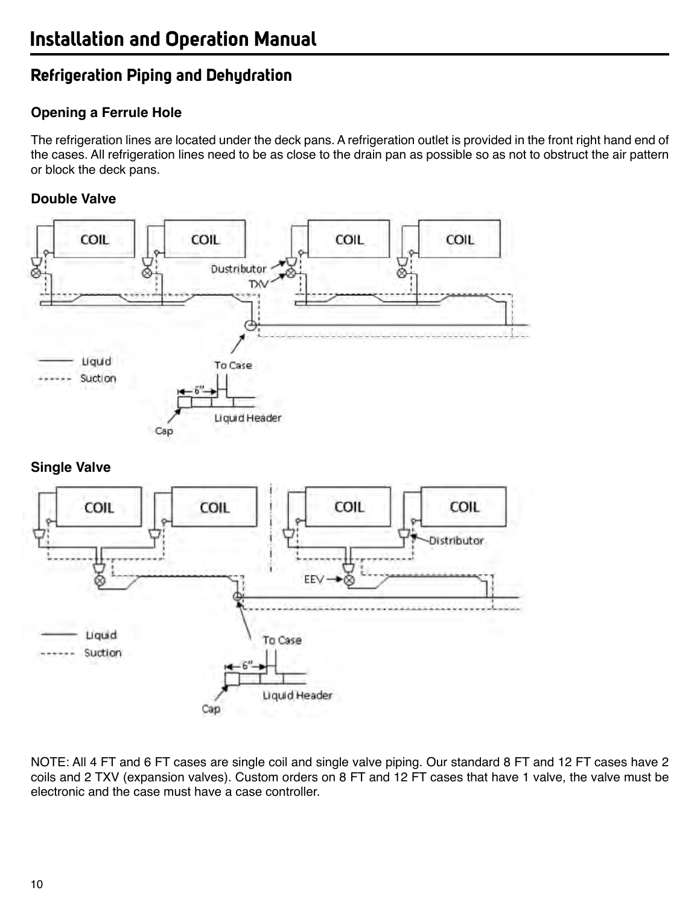## **Refrigeration Piping and Dehydration**

## **Opening a Ferrule Hole**

The refrigeration lines are located under the deck pans. A refrigeration outlet is provided in the front right hand end of the cases. All refrigeration lines need to be as close to the drain pan as possible so as not to obstruct the air pattern or block the deck pans.

## **Double Valve**





NOTE: All 4 FT and 6 FT cases are single coil and single valve piping. Our standard 8 FT and 12 FT cases have 2 coils and 2 TXV (expansion valves). Custom orders on 8 FT and 12 FT cases that have 1 valve, the valve must be electronic and the case must have a case controller.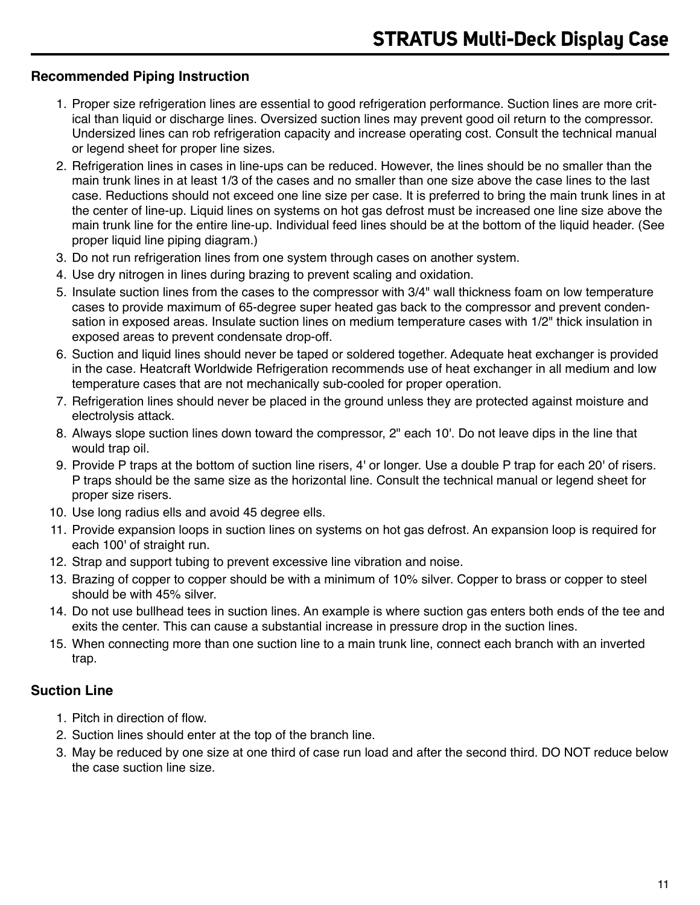### **Recommended Piping Instruction**

- 1. Proper size refrigeration lines are essential to good refrigeration performance. Suction lines are more critical than liquid or discharge lines. Oversized suction lines may prevent good oil return to the compressor. Undersized lines can rob refrigeration capacity and increase operating cost. Consult the technical manual or legend sheet for proper line sizes.
- 2. Refrigeration lines in cases in line-ups can be reduced. However, the lines should be no smaller than the main trunk lines in at least 1/3 of the cases and no smaller than one size above the case lines to the last case. Reductions should not exceed one line size per case. It is preferred to bring the main trunk lines in at the center of line-up. Liquid lines on systems on hot gas defrost must be increased one line size above the main trunk line for the entire line-up. Individual feed lines should be at the bottom of the liquid header. (See proper liquid line piping diagram.)
- 3. Do not run refrigeration lines from one system through cases on another system.
- 4. Use dry nitrogen in lines during brazing to prevent scaling and oxidation.
- 5. Insulate suction lines from the cases to the compressor with 3/4" wall thickness foam on low temperature cases to provide maximum of 65-degree super heated gas back to the compressor and prevent condensation in exposed areas. Insulate suction lines on medium temperature cases with 1/2" thick insulation in exposed areas to prevent condensate drop-off.
- 6. Suction and liquid lines should never be taped or soldered together. Adequate heat exchanger is provided in the case. Heatcraft Worldwide Refrigeration recommends use of heat exchanger in all medium and low temperature cases that are not mechanically sub-cooled for proper operation.
- 7. Refrigeration lines should never be placed in the ground unless they are protected against moisture and electrolysis attack.
- 8. Always slope suction lines down toward the compressor, 2" each 10'. Do not leave dips in the line that would trap oil.
- 9. Provide P traps at the bottom of suction line risers, 4' or longer. Use a double P trap for each 20' of risers. P traps should be the same size as the horizontal line. Consult the technical manual or legend sheet for proper size risers.
- 10. Use long radius ells and avoid 45 degree ells.
- 11. Provide expansion loops in suction lines on systems on hot gas defrost. An expansion loop is required for each 100' of straight run.
- 12. Strap and support tubing to prevent excessive line vibration and noise.
- 13. Brazing of copper to copper should be with a minimum of 10% silver. Copper to brass or copper to steel should be with 45% silver.
- 14. Do not use bullhead tees in suction lines. An example is where suction gas enters both ends of the tee and exits the center. This can cause a substantial increase in pressure drop in the suction lines.
- 15. When connecting more than one suction line to a main trunk line, connect each branch with an inverted trap.

## **Suction Line**

- 1. Pitch in direction of flow.
- 2. Suction lines should enter at the top of the branch line.
- 3. May be reduced by one size at one third of case run load and after the second third. DO NOT reduce below the case suction line size.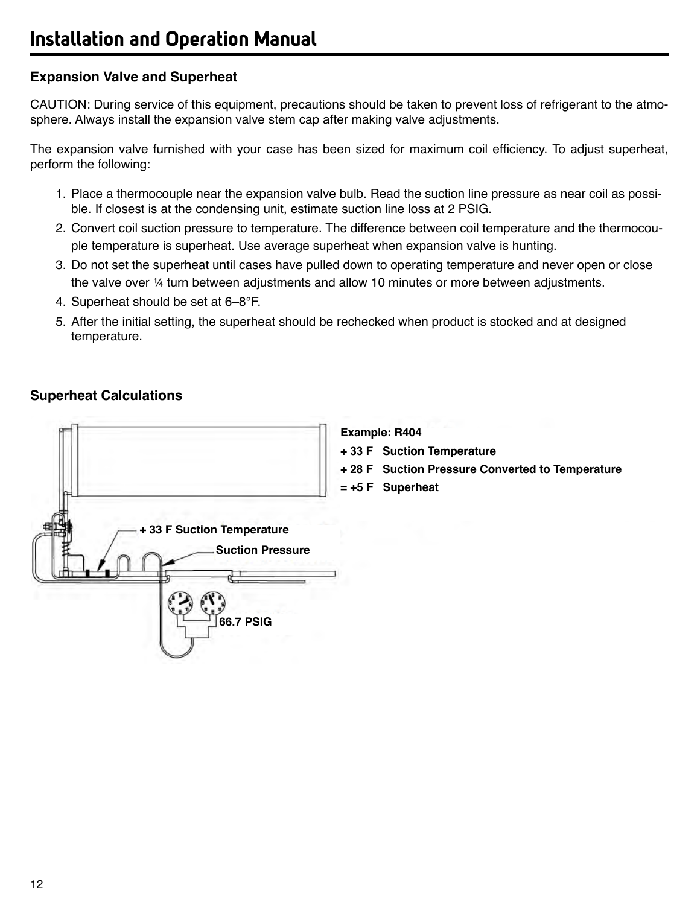## **Expansion Valve and Superheat**

CAUTION: During service of this equipment, precautions should be taken to prevent loss of refrigerant to the atmosphere. Always install the expansion valve stem cap after making valve adjustments.

The expansion valve furnished with your case has been sized for maximum coil efficiency. To adjust superheat, perform the following:

- 1. Place a thermocouple near the expansion valve bulb. Read the suction line pressure as near coil as possible. If closest is at the condensing unit, estimate suction line loss at 2 PSIG.
- 2. Convert coil suction pressure to temperature. The difference between coil temperature and the thermocouple temperature is superheat. Use average superheat when expansion valve is hunting.
- 3. Do not set the superheat until cases have pulled down to operating temperature and never open or close the valve over ¼ turn between adjustments and allow 10 minutes or more between adjustments.
- 4. Superheat should be set at 6–8°F.
- 5. After the initial setting, the superheat should be rechecked when product is stocked and at designed temperature.

## **Superheat Calculations**

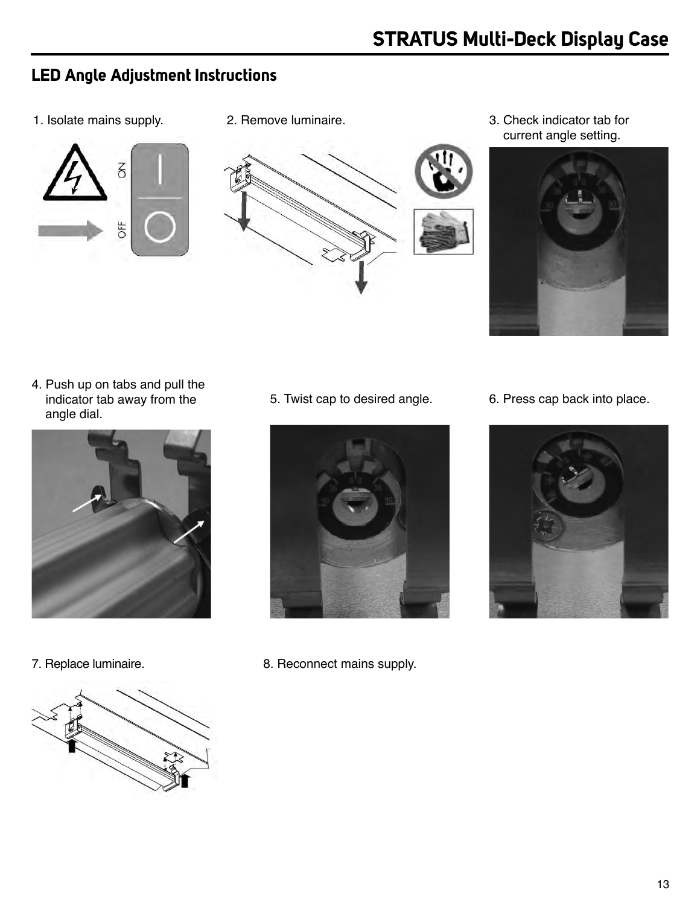## **LED Angle Adjustment Instructions**

1. Isolate mains supply. 2. Remove luminaire.





3. Check indicator tab for current angle setting.



4. Push up on tabs and pull the indicator tab away from the angle dial.







7. Replace luminaire. **8. Reconnect mains supply.** 

5. Twist cap to desired angle. 6. Press cap back into place.

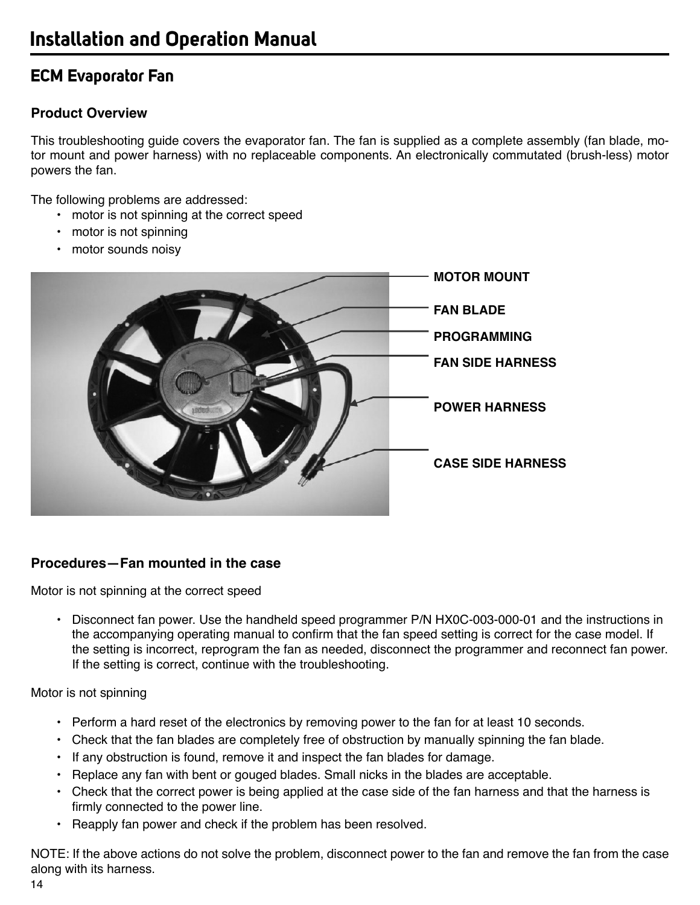## **ECM Evaporator Fan**

## **Product Overview**

This troubleshooting guide covers the evaporator fan. The fan is supplied as a complete assembly (fan blade, motor mount and power harness) with no replaceable components. An electronically commutated (brush-less) motor powers the fan.

The following problems are addressed:

- motor is not spinning at the correct speed
- motor is not spinning
- motor sounds noisy



## **Procedures—Fan mounted in the case**

Motor is not spinning at the correct speed

• Disconnect fan power. Use the handheld speed programmer P/N HX0C-003-000-01 and the instructions in the accompanying operating manual to confirm that the fan speed setting is correct for the case model. If the setting is incorrect, reprogram the fan as needed, disconnect the programmer and reconnect fan power. If the setting is correct, continue with the troubleshooting.

Motor is not spinning

- Perform a hard reset of the electronics by removing power to the fan for at least 10 seconds.
- Check that the fan blades are completely free of obstruction by manually spinning the fan blade.
- If any obstruction is found, remove it and inspect the fan blades for damage.
- Replace any fan with bent or gouged blades. Small nicks in the blades are acceptable.
- Check that the correct power is being applied at the case side of the fan harness and that the harness is firmly connected to the power line.
- Reapply fan power and check if the problem has been resolved.

NOTE: If the above actions do not solve the problem, disconnect power to the fan and remove the fan from the case along with its harness.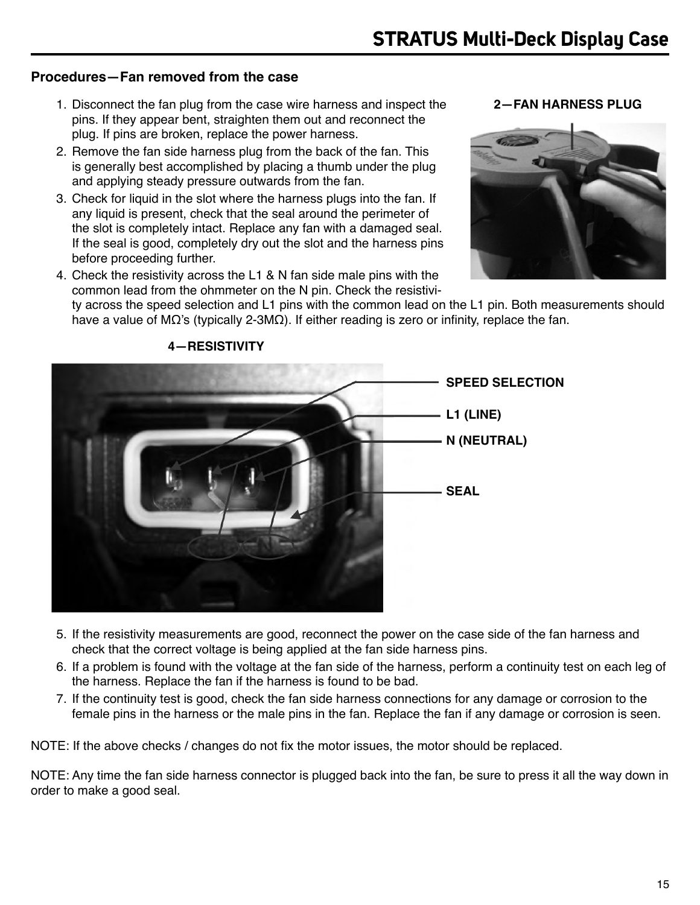#### **Procedures—Fan removed from the case**

- 1. Disconnect the fan plug from the case wire harness and inspect the pins. If they appear bent, straighten them out and reconnect the plug. If pins are broken, replace the power harness.
- 2. Remove the fan side harness plug from the back of the fan. This is generally best accomplished by placing a thumb under the plug and applying steady pressure outwards from the fan.
- 3. Check for liquid in the slot where the harness plugs into the fan. If any liquid is present, check that the seal around the perimeter of the slot is completely intact. Replace any fan with a damaged seal. If the seal is good, completely dry out the slot and the harness pins before proceeding further.
- 4. Check the resistivity across the L1 & N fan side male pins with the common lead from the ohmmeter on the N pin. Check the resistivi-

**2—FAN HARNESS PLUG**



ty across the speed selection and L1 pins with the common lead on the L1 pin. Both measurements should have a value of MΩ's (typically 2-3MΩ). If either reading is zero or infinity, replace the fan.



**4—RESISTIVITY**

- 5. If the resistivity measurements are good, reconnect the power on the case side of the fan harness and check that the correct voltage is being applied at the fan side harness pins.
- 6. If a problem is found with the voltage at the fan side of the harness, perform a continuity test on each leg of the harness. Replace the fan if the harness is found to be bad.
- 7. If the continuity test is good, check the fan side harness connections for any damage or corrosion to the female pins in the harness or the male pins in the fan. Replace the fan if any damage or corrosion is seen.

NOTE: If the above checks / changes do not fix the motor issues, the motor should be replaced.

NOTE: Any time the fan side harness connector is plugged back into the fan, be sure to press it all the way down in order to make a good seal.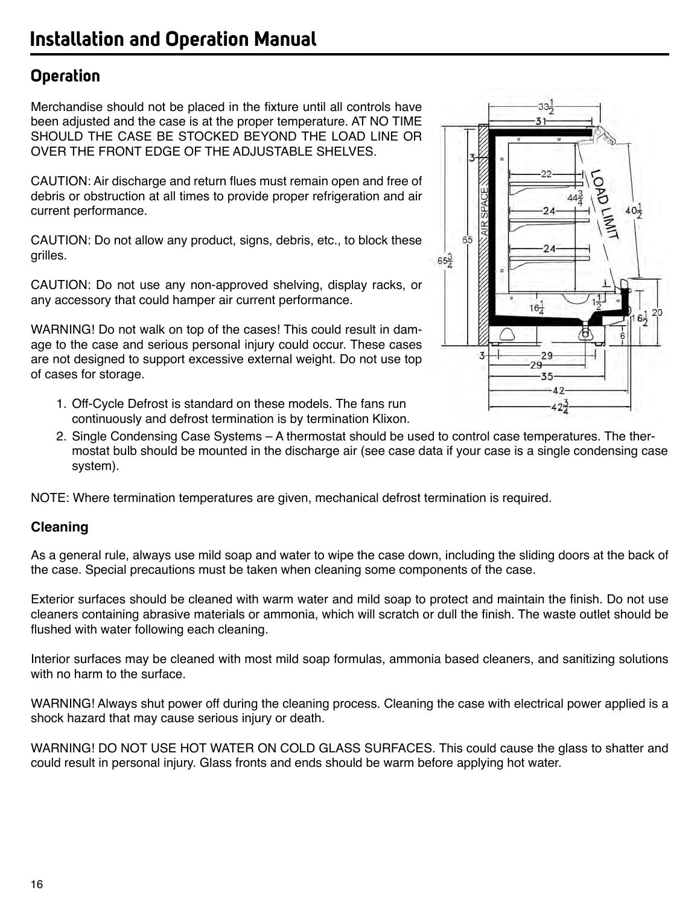## **Operation**

Merchandise should not be placed in the fixture until all controls have been adjusted and the case is at the proper temperature. AT NO TIME SHOULD THE CASE BE STOCKED BEYOND THE LOAD LINE OR OVER THE FRONT EDGE OF THE ADJUSTABLE SHELVES.

CAUTION: Air discharge and return flues must remain open and free of debris or obstruction at all times to provide proper refrigeration and air current performance.

CAUTION: Do not allow any product, signs, debris, etc., to block these grilles.

CAUTION: Do not use any non-approved shelving, display racks, or any accessory that could hamper air current performance.

WARNING! Do not walk on top of the cases! This could result in damage to the case and serious personal injury could occur. These cases are not designed to support excessive external weight. Do not use top of cases for storage.

- 1. Off-Cycle Defrost is standard on these models. The fans run continuously and defrost termination is by termination Klixon.
- 2. Single Condensing Case Systems A thermostat should be used to control case temperatures. The thermostat bulb should be mounted in the discharge air (see case data if your case is a single condensing case system).

NOTE: Where termination temperatures are given, mechanical defrost termination is required.

### **Cleaning**

As a general rule, always use mild soap and water to wipe the case down, including the sliding doors at the back of the case. Special precautions must be taken when cleaning some components of the case.

Exterior surfaces should be cleaned with warm water and mild soap to protect and maintain the finish. Do not use cleaners containing abrasive materials or ammonia, which will scratch or dull the finish. The waste outlet should be flushed with water following each cleaning.

Interior surfaces may be cleaned with most mild soap formulas, ammonia based cleaners, and sanitizing solutions with no harm to the surface.

WARNING! Always shut power off during the cleaning process. Cleaning the case with electrical power applied is a shock hazard that may cause serious injury or death.

WARNING! DO NOT USE HOT WATER ON COLD GLASS SURFACES. This could cause the glass to shatter and could result in personal injury. Glass fronts and ends should be warm before applying hot water.

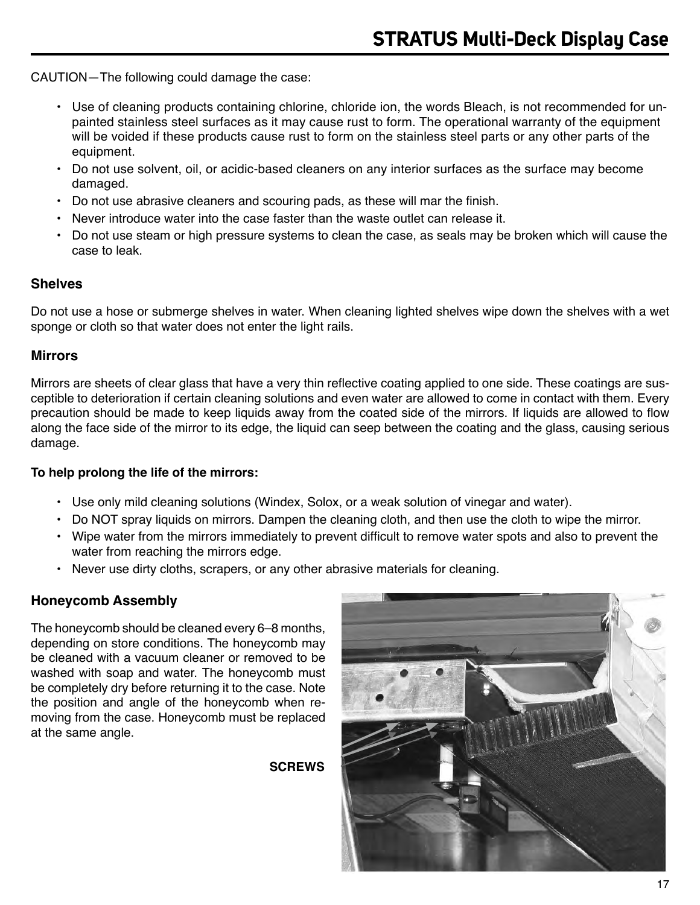CAUTION—The following could damage the case:

- Use of cleaning products containing chlorine, chloride ion, the words Bleach, is not recommended for unpainted stainless steel surfaces as it may cause rust to form. The operational warranty of the equipment will be voided if these products cause rust to form on the stainless steel parts or any other parts of the equipment.
- Do not use solvent, oil, or acidic-based cleaners on any interior surfaces as the surface may become damaged.
- Do not use abrasive cleaners and scouring pads, as these will mar the finish.
- Never introduce water into the case faster than the waste outlet can release it.
- Do not use steam or high pressure systems to clean the case, as seals may be broken which will cause the case to leak.

#### **Shelves**

Do not use a hose or submerge shelves in water. When cleaning lighted shelves wipe down the shelves with a wet sponge or cloth so that water does not enter the light rails.

#### **Mirrors**

Mirrors are sheets of clear glass that have a very thin reflective coating applied to one side. These coatings are susceptible to deterioration if certain cleaning solutions and even water are allowed to come in contact with them. Every precaution should be made to keep liquids away from the coated side of the mirrors. If liquids are allowed to flow along the face side of the mirror to its edge, the liquid can seep between the coating and the glass, causing serious damage.

#### **To help prolong the life of the mirrors:**

- Use only mild cleaning solutions (Windex, Solox, or a weak solution of vinegar and water).
- Do NOT spray liquids on mirrors. Dampen the cleaning cloth, and then use the cloth to wipe the mirror.
- Wipe water from the mirrors immediately to prevent difficult to remove water spots and also to prevent the water from reaching the mirrors edge.
- Never use dirty cloths, scrapers, or any other abrasive materials for cleaning.

#### **Honeycomb Assembly**

The honeycomb should be cleaned every 6–8 months, depending on store conditions. The honeycomb may be cleaned with a vacuum cleaner or removed to be washed with soap and water. The honeycomb must be completely dry before returning it to the case. Note the position and angle of the honeycomb when removing from the case. Honeycomb must be replaced at the same angle.

**SCREWS**

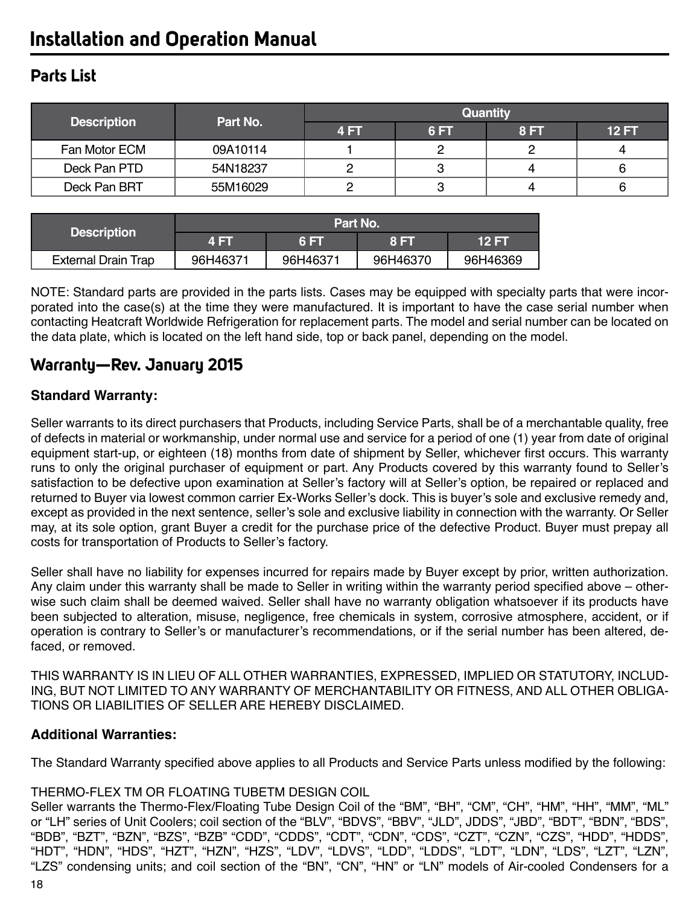# **Installation and Operation Manual**

## **Parts List**

| <b>Description</b> | Part No. | <b>Quantity</b> |     |      |              |
|--------------------|----------|-----------------|-----|------|--------------|
|                    |          | 4 FT            | 6FT | 8 FT | <b>12 FT</b> |
| Fan Motor ECM      | 09A10114 |                 |     |      |              |
| Deck Pan PTD       | 54N18237 |                 | 3   | 4    |              |
| Deck Pan BRT       | 55M16029 |                 | З   |      |              |

|                            | <b>Part No.</b> |          |          |              |  |
|----------------------------|-----------------|----------|----------|--------------|--|
| <b>Description</b>         | <b>4 EV</b>     | 'R ET    | 8 FT     | <b>12 FT</b> |  |
| <b>External Drain Trap</b> | 96H46371        | 96H46371 | 96H46370 | 96H46369     |  |

NOTE: Standard parts are provided in the parts lists. Cases may be equipped with specialty parts that were incorporated into the case(s) at the time they were manufactured. It is important to have the case serial number when contacting Heatcraft Worldwide Refrigeration for replacement parts. The model and serial number can be located on the data plate, which is located on the left hand side, top or back panel, depending on the model.

## **Warranty—Rev. January 2015**

### **Standard Warranty:**

Seller warrants to its direct purchasers that Products, including Service Parts, shall be of a merchantable quality, free of defects in material or workmanship, under normal use and service for a period of one (1) year from date of original equipment start-up, or eighteen (18) months from date of shipment by Seller, whichever first occurs. This warranty runs to only the original purchaser of equipment or part. Any Products covered by this warranty found to Seller's satisfaction to be defective upon examination at Seller's factory will at Seller's option, be repaired or replaced and returned to Buyer via lowest common carrier Ex-Works Seller's dock. This is buyer's sole and exclusive remedy and, except as provided in the next sentence, seller's sole and exclusive liability in connection with the warranty. Or Seller may, at its sole option, grant Buyer a credit for the purchase price of the defective Product. Buyer must prepay all costs for transportation of Products to Seller's factory.

Seller shall have no liability for expenses incurred for repairs made by Buyer except by prior, written authorization. Any claim under this warranty shall be made to Seller in writing within the warranty period specified above – otherwise such claim shall be deemed waived. Seller shall have no warranty obligation whatsoever if its products have been subjected to alteration, misuse, negligence, free chemicals in system, corrosive atmosphere, accident, or if operation is contrary to Seller's or manufacturer's recommendations, or if the serial number has been altered, defaced, or removed.

THIS WARRANTY IS IN LIEU OF ALL OTHER WARRANTIES, EXPRESSED, IMPLIED OR STATUTORY, INCLUD-ING, BUT NOT LIMITED TO ANY WARRANTY OF MERCHANTABILITY OR FITNESS, AND ALL OTHER OBLIGA-TIONS OR LIABILITIES OF SELLER ARE HEREBY DISCLAIMED.

### **Additional Warranties:**

The Standard Warranty specified above applies to all Products and Service Parts unless modified by the following:

### THERMO-FLEX TM OR FLOATING TUBETM DESIGN COIL

Seller warrants the Thermo-Flex/Floating Tube Design Coil of the "BM", "BH", "CM", "CH", "HM", "HH", "MM", "ML" or "LH" series of Unit Coolers; coil section of the "BLV", "BDVS", "BBV", "JLD", JDDS", "JBD", "BDT", "BDN", "BDS", "BDB", "BZT", "BZN", "BZS", "BZB" "CDD", "CDDS", "CDT", "CDN", "CDS", "CZT", "CZN", "CZS", "HDD", "HDDS", "HDT", "HDN", "HDS", "HZT", "HZN", "HZS", "LDV", "LDVS", "LDD", "LDDS", "LDT", "LDN", "LDS", "LZT", "LZN", "LZS" condensing units; and coil section of the "BN", "CN", "HN" or "LN" models of Air-cooled Condensers for a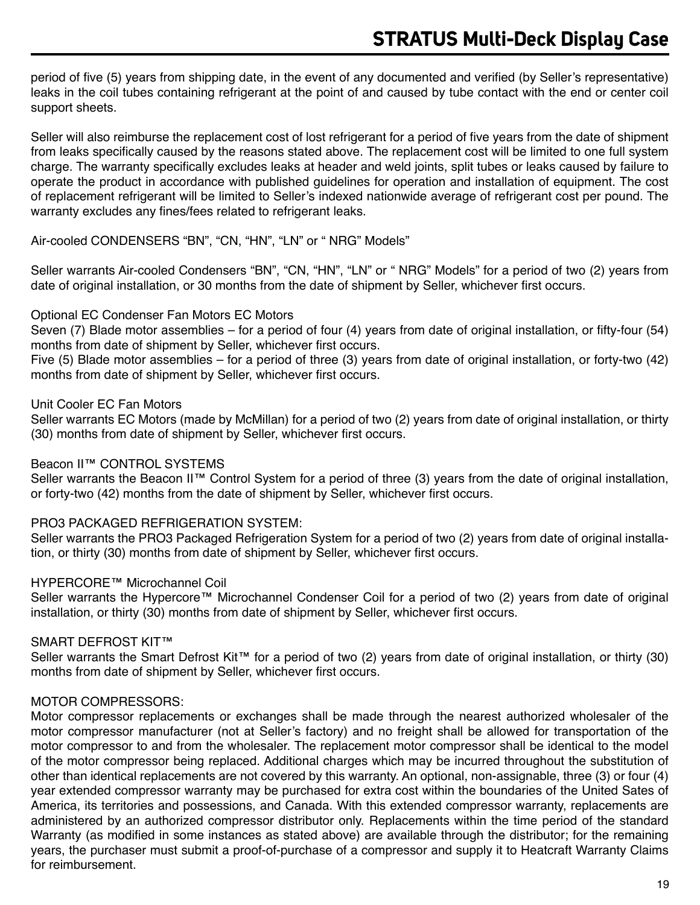period of five (5) years from shipping date, in the event of any documented and verified (by Seller's representative) leaks in the coil tubes containing refrigerant at the point of and caused by tube contact with the end or center coil support sheets.

Seller will also reimburse the replacement cost of lost refrigerant for a period of five years from the date of shipment from leaks specifically caused by the reasons stated above. The replacement cost will be limited to one full system charge. The warranty specifically excludes leaks at header and weld joints, split tubes or leaks caused by failure to operate the product in accordance with published guidelines for operation and installation of equipment. The cost of replacement refrigerant will be limited to Seller's indexed nationwide average of refrigerant cost per pound. The warranty excludes any fines/fees related to refrigerant leaks.

Air-cooled CONDENSERS "BN", "CN, "HN", "LN" or " NRG" Models"

Seller warrants Air-cooled Condensers "BN", "CN, "HN", "LN" or " NRG" Models" for a period of two (2) years from date of original installation, or 30 months from the date of shipment by Seller, whichever first occurs.

#### Optional EC Condenser Fan Motors EC Motors

Seven (7) Blade motor assemblies – for a period of four (4) years from date of original installation, or fifty-four (54) months from date of shipment by Seller, whichever first occurs.

Five (5) Blade motor assemblies – for a period of three (3) years from date of original installation, or forty-two (42) months from date of shipment by Seller, whichever first occurs.

#### Unit Cooler EC Fan Motors

Seller warrants EC Motors (made by McMillan) for a period of two (2) years from date of original installation, or thirty (30) months from date of shipment by Seller, whichever first occurs.

#### Beacon II™ CONTROL SYSTEMS

Seller warrants the Beacon II™ Control System for a period of three (3) years from the date of original installation, or forty-two (42) months from the date of shipment by Seller, whichever first occurs.

#### PRO3 PACKAGED REFRIGERATION SYSTEM:

Seller warrants the PRO3 Packaged Refrigeration System for a period of two (2) years from date of original installation, or thirty (30) months from date of shipment by Seller, whichever first occurs.

#### HYPERCORE™ Microchannel Coil

Seller warrants the Hypercore™ Microchannel Condenser Coil for a period of two (2) years from date of original installation, or thirty (30) months from date of shipment by Seller, whichever first occurs.

#### SMART DEFROST KIT™

Seller warrants the Smart Defrost Kit™ for a period of two (2) years from date of original installation, or thirty (30) months from date of shipment by Seller, whichever first occurs.

#### MOTOR COMPRESSORS:

Motor compressor replacements or exchanges shall be made through the nearest authorized wholesaler of the motor compressor manufacturer (not at Seller's factory) and no freight shall be allowed for transportation of the motor compressor to and from the wholesaler. The replacement motor compressor shall be identical to the model of the motor compressor being replaced. Additional charges which may be incurred throughout the substitution of other than identical replacements are not covered by this warranty. An optional, non-assignable, three (3) or four (4) year extended compressor warranty may be purchased for extra cost within the boundaries of the United Sates of America, its territories and possessions, and Canada. With this extended compressor warranty, replacements are administered by an authorized compressor distributor only. Replacements within the time period of the standard Warranty (as modified in some instances as stated above) are available through the distributor; for the remaining years, the purchaser must submit a proof-of-purchase of a compressor and supply it to Heatcraft Warranty Claims for reimbursement.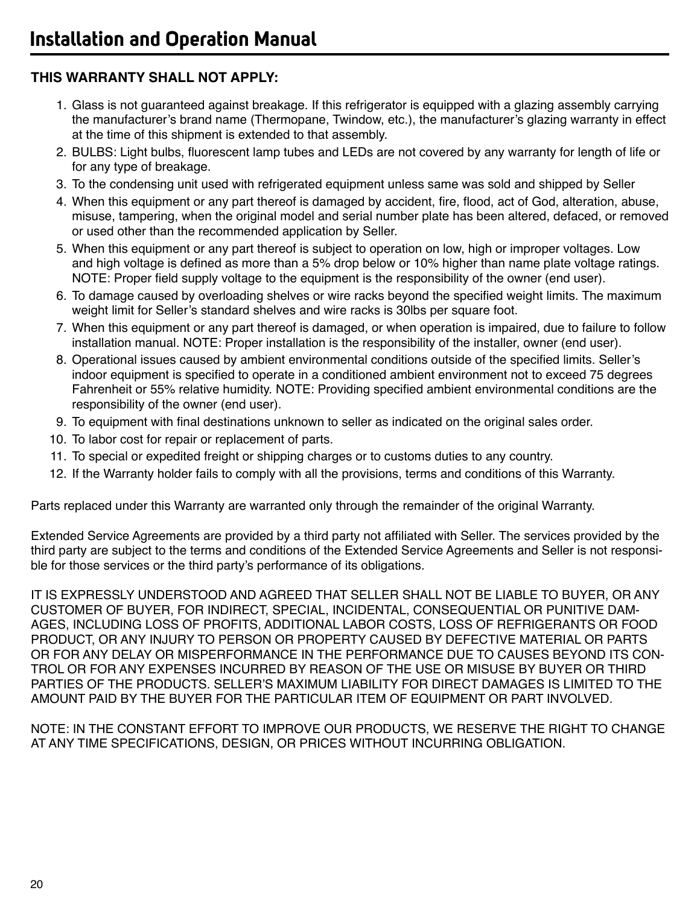## **THIS WARRANTY SHALL NOT APPLY:**

- 1. Glass is not guaranteed against breakage. If this refrigerator is equipped with a glazing assembly carrying the manufacturer's brand name (Thermopane, Twindow, etc.), the manufacturer's glazing warranty in effect at the time of this shipment is extended to that assembly.
- 2. BULBS: Light bulbs, fluorescent lamp tubes and LEDs are not covered by any warranty for length of life or for any type of breakage.
- 3. To the condensing unit used with refrigerated equipment unless same was sold and shipped by Seller
- 4. When this equipment or any part thereof is damaged by accident, fire, flood, act of God, alteration, abuse, misuse, tampering, when the original model and serial number plate has been altered, defaced, or removed or used other than the recommended application by Seller.
- 5. When this equipment or any part thereof is subject to operation on low, high or improper voltages. Low and high voltage is defined as more than a 5% drop below or 10% higher than name plate voltage ratings. NOTE: Proper field supply voltage to the equipment is the responsibility of the owner (end user).
- 6. To damage caused by overloading shelves or wire racks beyond the specified weight limits. The maximum weight limit for Seller's standard shelves and wire racks is 30lbs per square foot.
- 7. When this equipment or any part thereof is damaged, or when operation is impaired, due to failure to follow installation manual. NOTE: Proper installation is the responsibility of the installer, owner (end user).
- 8. Operational issues caused by ambient environmental conditions outside of the specified limits. Seller's indoor equipment is specified to operate in a conditioned ambient environment not to exceed 75 degrees Fahrenheit or 55% relative humidity. NOTE: Providing specified ambient environmental conditions are the responsibility of the owner (end user).
- 9. To equipment with final destinations unknown to seller as indicated on the original sales order.
- 10. To labor cost for repair or replacement of parts.
- 11. To special or expedited freight or shipping charges or to customs duties to any country.
- 12. If the Warranty holder fails to comply with all the provisions, terms and conditions of this Warranty.

Parts replaced under this Warranty are warranted only through the remainder of the original Warranty.

Extended Service Agreements are provided by a third party not affiliated with Seller. The services provided by the third party are subject to the terms and conditions of the Extended Service Agreements and Seller is not responsible for those services or the third party's performance of its obligations.

IT IS EXPRESSLY UNDERSTOOD AND AGREED THAT SELLER SHALL NOT BE LIABLE TO BUYER, OR ANY CUSTOMER OF BUYER, FOR INDIRECT, SPECIAL, INCIDENTAL, CONSEQUENTIAL OR PUNITIVE DAM-AGES, INCLUDING LOSS OF PROFITS, ADDITIONAL LABOR COSTS, LOSS OF REFRIGERANTS OR FOOD PRODUCT, OR ANY INJURY TO PERSON OR PROPERTY CAUSED BY DEFECTIVE MATERIAL OR PARTS OR FOR ANY DELAY OR MISPERFORMANCE IN THE PERFORMANCE DUE TO CAUSES BEYOND ITS CON-TROL OR FOR ANY EXPENSES INCURRED BY REASON OF THE USE OR MISUSE BY BUYER OR THIRD PARTIES OF THE PRODUCTS. SELLER'S MAXIMUM LIABILITY FOR DIRECT DAMAGES IS LIMITED TO THE AMOUNT PAID BY THE BUYER FOR THE PARTICULAR ITEM OF EQUIPMENT OR PART INVOLVED.

NOTE: IN THE CONSTANT EFFORT TO IMPROVE OUR PRODUCTS, WE RESERVE THE RIGHT TO CHANGE AT ANY TIME SPECIFICATIONS, DESIGN, OR PRICES WITHOUT INCURRING OBLIGATION.